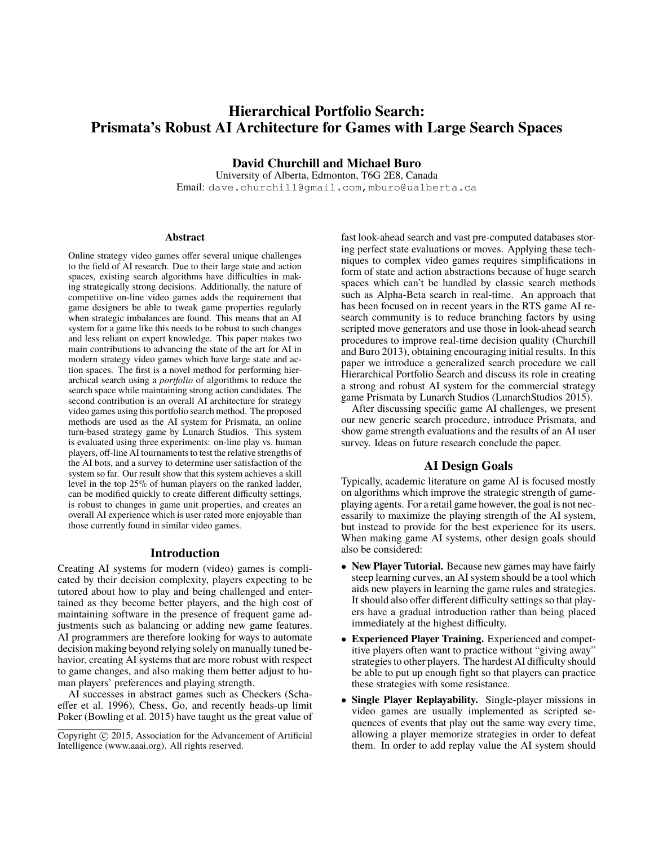# **Hierarchical Portfolio Search: Prismata's Robust AI Architecture for Games with Large Search Spaces**

**David Churchill and Michael Buro**

University of Alberta, Edmonton, T6G 2E8, Canada Email: dave.churchill@gmail.com,mburo@ualberta.ca

#### **Abstract**

Online strategy video games offer several unique challenges to the field of AI research. Due to their large state and action spaces, existing search algorithms have difficulties in making strategically strong decisions. Additionally, the nature of competitive on-line video games adds the requirement that game designers be able to tweak game properties regularly when strategic imbalances are found. This means that an AI system for a game like this needs to be robust to such changes and less reliant on expert knowledge. This paper makes two main contributions to advancing the state of the art for AI in modern strategy video games which have large state and action spaces. The first is a novel method for performing hierarchical search using a *portfolio* of algorithms to reduce the search space while maintaining strong action candidates. The second contribution is an overall AI architecture for strategy video games using this portfolio search method. The proposed methods are used as the AI system for Prismata, an online turn-based strategy game by Lunarch Studios. This system is evaluated using three experiments: on-line play vs. human players, off-line AI tournaments to test the relative strengths of the AI bots, and a survey to determine user satisfaction of the system so far. Our result show that this system achieves a skill level in the top 25% of human players on the ranked ladder, can be modified quickly to create different difficulty settings, is robust to changes in game unit properties, and creates an overall AI experience which is user rated more enjoyable than those currently found in similar video games.

### **Introduction**

Creating AI systems for modern (video) games is complicated by their decision complexity, players expecting to be tutored about how to play and being challenged and entertained as they become better players, and the high cost of maintaining software in the presence of frequent game adjustments such as balancing or adding new game features. AI programmers are therefore looking for ways to automate decision making beyond relying solely on manually tuned behavior, creating AI systems that are more robust with respect to game changes, and also making them better adjust to human players' preferences and playing strength.

AI successes in abstract games such as Checkers (Schaeffer et al. 1996), Chess, Go, and recently heads-up limit Poker (Bowling et al. 2015) have taught us the great value of fast look-ahead search and vast pre-computed databases storing perfect state evaluations or moves. Applying these techniques to complex video games requires simplifications in form of state and action abstractions because of huge search spaces which can't be handled by classic search methods such as Alpha-Beta search in real-time. An approach that has been focused on in recent years in the RTS game AI research community is to reduce branching factors by using scripted move generators and use those in look-ahead search procedures to improve real-time decision quality (Churchill and Buro 2013), obtaining encouraging initial results. In this paper we introduce a generalized search procedure we call Hierarchical Portfolio Search and discuss its role in creating a strong and robust AI system for the commercial strategy game Prismata by Lunarch Studios (LunarchStudios 2015).

After discussing specific game AI challenges, we present our new generic search procedure, introduce Prismata, and show game strength evaluations and the results of an AI user survey. Ideas on future research conclude the paper.

# **AI Design Goals**

Typically, academic literature on game AI is focused mostly on algorithms which improve the strategic strength of gameplaying agents. For a retail game however, the goal is not necessarily to maximize the playing strength of the AI system, but instead to provide for the best experience for its users. When making game AI systems, other design goals should also be considered:

- **New Player Tutorial.** Because new games may have fairly steep learning curves, an AI system should be a tool which aids new players in learning the game rules and strategies. It should also offer different difficulty settings so that players have a gradual introduction rather than being placed immediately at the highest difficulty.
- **Experienced Player Training.** Experienced and competitive players often want to practice without "giving away" strategies to other players. The hardest AI difficulty should be able to put up enough fight so that players can practice these strategies with some resistance.
- **Single Player Replayability.** Single-player missions in video games are usually implemented as scripted sequences of events that play out the same way every time, allowing a player memorize strategies in order to defeat them. In order to add replay value the AI system should

Copyright (c) 2015, Association for the Advancement of Artificial Intelligence (www.aaai.org). All rights reserved.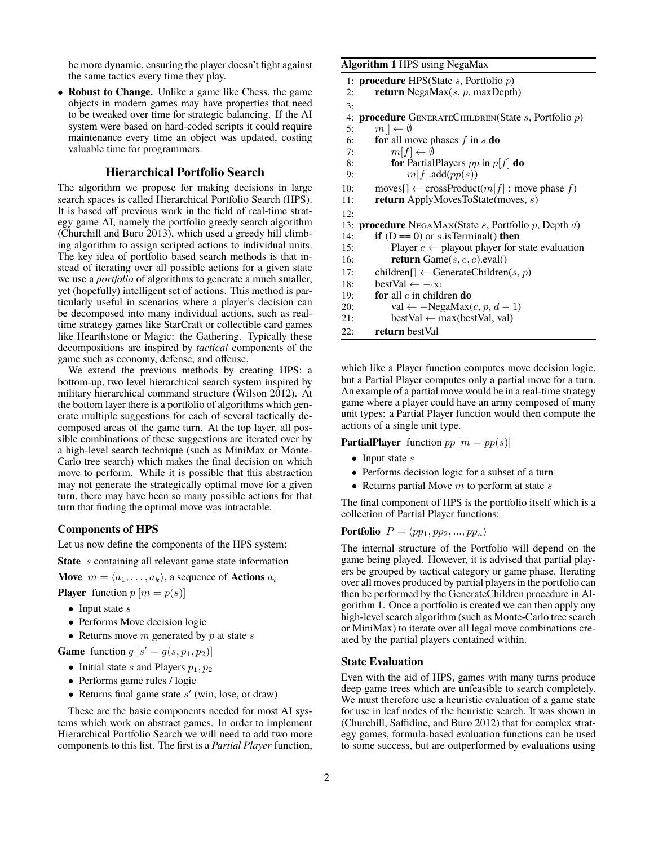be more dynamic, ensuring the player doesn't fight against the same tactics every time they play.

• **Robust to Change.** Unlike a game like Chess, the game objects in modern games may have properties that need to be tweaked over time for strategic balancing. If the AI system were based on hard-coded scripts it could require maintenance every time an object was updated, costing valuable time for programmers.

# **Hierarchical Portfolio Search**

The algorithm we propose for making decisions in large search spaces is called Hierarchical Portfolio Search (HPS). It is based off previous work in the field of real-time strategy game AI, namely the portfolio greedy search algorithm (Churchill and Buro 2013), which used a greedy hill climbing algorithm to assign scripted actions to individual units. The key idea of portfolio based search methods is that instead of iterating over all possible actions for a given state we use a *portfolio* of algorithms to generate a much smaller, yet (hopefully) intelligent set of actions. This method is particularly useful in scenarios where a player's decision can be decomposed into many individual actions, such as realtime strategy games like StarCraft or collectible card games like Hearthstone or Magic: the Gathering. Typically these decompositions are inspired by *tactical* components of the game such as economy, defense, and offense.

We extend the previous methods by creating HPS: a bottom-up, two level hierarchical search system inspired by military hierarchical command structure (Wilson 2012). At the bottom layer there is a portfolio of algorithms which generate multiple suggestions for each of several tactically decomposed areas of the game turn. At the top layer, all possible combinations of these suggestions are iterated over by a high-level search technique (such as MiniMax or Monte-Carlo tree search) which makes the final decision on which move to perform. While it is possible that this abstraction may not generate the strategically optimal move for a given turn, there may have been so many possible actions for that turn that finding the optimal move was intractable.

### **Components of HPS**

Let us now define the components of the HPS system:

**State** s containing all relevant game state information

**Move**  $m = \langle a_1, \ldots, a_k \rangle$ , a sequence of **Actions**  $a_i$ 

**Player** function  $p[m = p(s)]$ 

- Input state  $s$
- Performs Move decision logic
- Returns move  $m$  generated by  $p$  at state  $s$

**Game** function  $g[s] = g(s, p_1, p_2)$ 

- Initial state s and Players  $p_1, p_2$
- Performs game rules / logic
- Returns final game state  $s'$  (win, lose, or draw)

These are the basic components needed for most AI systems which work on abstract games. In order to implement Hierarchical Portfolio Search we will need to add two more components to this list. The first is a *Partial Player* function,

#### **Algorithm 1** HPS using NegaMax

| 1: <b>procedure</b> HPS(State $s$ , Portfolio $p$ )                          |
|------------------------------------------------------------------------------|
| <b>return</b> NegaMax $(s, p, maxDepth)$                                     |
|                                                                              |
| <b>procedure</b> GENERATECHILDREN(State $s$ , Portfolio $p$ )                |
| $m\llbracket \leftarrow \emptyset$                                           |
| <b>for</b> all move phases $f$ in $s$ <b>do</b>                              |
| $m[f] \leftarrow \emptyset$                                                  |
| <b>for</b> PartialPlayers pp in $p f $ <b>do</b><br>8:                       |
| m[f].add(pp(s))                                                              |
| $\text{moves}[] \leftarrow \text{crossProduct}(m[f] : \text{move phase } f)$ |
| <b>return</b> ApplyMovesToState(moves, $s$ )                                 |
|                                                                              |
| <b>procedure</b> NEGAMAX(State $s$ , Portfolio $p$ , Depth $d$ )             |
| if $(D == 0)$ or <i>s</i> is Terminal() then                                 |
| Player $e \leftarrow$ playout player for state evaluation                    |
| <b>return</b> Game $(s, e, e)$ .eval()                                       |
| children[] $\leftarrow$ GenerateChildren(s, p)                               |
| bestVal $\leftarrow -\infty$                                                 |
| <b>for</b> all $c$ in children <b>do</b>                                     |
| val $\leftarrow$ -NegaMax $(c, p, d - 1)$                                    |
| $bestVal \leftarrow max(bestVal, val)$                                       |
| return bestVal                                                               |
|                                                                              |

which like a Player function computes move decision logic, but a Partial Player computes only a partial move for a turn. An example of a partial move would be in a real-time strategy game where a player could have an army composed of many unit types: a Partial Player function would then compute the actions of a single unit type.

**PartialPlayer** function  $pp[m = pp(s)]$ 

- Input state  $s$
- Performs decision logic for a subset of a turn
- Returns partial Move  $m$  to perform at state  $s$

The final component of HPS is the portfolio itself which is a collection of Partial Player functions:

**Portfolio**  $P = \langle pp_1, pp_2, ..., pp_n \rangle$ 

The internal structure of the Portfolio will depend on the game being played. However, it is advised that partial players be grouped by tactical category or game phase. Iterating over all moves produced by partial players in the portfolio can then be performed by the GenerateChildren procedure in Algorithm 1. Once a portfolio is created we can then apply any high-level search algorithm (such as Monte-Carlo tree search or MiniMax) to iterate over all legal move combinations created by the partial players contained within.

### **State Evaluation**

Even with the aid of HPS, games with many turns produce deep game trees which are unfeasible to search completely. We must therefore use a heuristic evaluation of a game state for use in leaf nodes of the heuristic search. It was shown in (Churchill, Saffidine, and Buro 2012) that for complex strategy games, formula-based evaluation functions can be used to some success, but are outperformed by evaluations using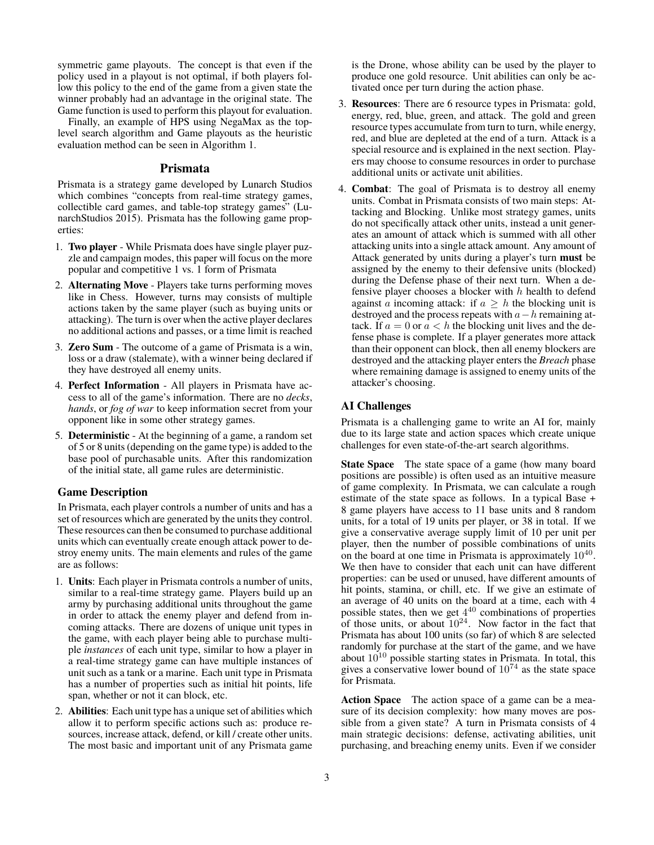symmetric game playouts. The concept is that even if the policy used in a playout is not optimal, if both players follow this policy to the end of the game from a given state the winner probably had an advantage in the original state. The Game function is used to perform this playout for evaluation.

Finally, an example of HPS using NegaMax as the toplevel search algorithm and Game playouts as the heuristic evaluation method can be seen in Algorithm 1.

## **Prismata**

Prismata is a strategy game developed by Lunarch Studios which combines "concepts from real-time strategy games, collectible card games, and table-top strategy games" (LunarchStudios 2015). Prismata has the following game properties:

- 1. **Two player** While Prismata does have single player puzzle and campaign modes, this paper will focus on the more popular and competitive 1 vs. 1 form of Prismata
- 2. **Alternating Move** Players take turns performing moves like in Chess. However, turns may consists of multiple actions taken by the same player (such as buying units or attacking). The turn is over when the active player declares no additional actions and passes, or a time limit is reached
- 3. **Zero Sum** The outcome of a game of Prismata is a win, loss or a draw (stalemate), with a winner being declared if they have destroyed all enemy units.
- 4. **Perfect Information** All players in Prismata have access to all of the game's information. There are no *decks*, *hands*, or *fog of war* to keep information secret from your opponent like in some other strategy games.
- 5. **Deterministic** At the beginning of a game, a random set of 5 or 8 units (depending on the game type) is added to the base pool of purchasable units. After this randomization of the initial state, all game rules are deterministic.

### **Game Description**

In Prismata, each player controls a number of units and has a set of resources which are generated by the units they control. These resources can then be consumed to purchase additional units which can eventually create enough attack power to destroy enemy units. The main elements and rules of the game are as follows:

- 1. **Units**: Each player in Prismata controls a number of units, similar to a real-time strategy game. Players build up an army by purchasing additional units throughout the game in order to attack the enemy player and defend from incoming attacks. There are dozens of unique unit types in the game, with each player being able to purchase multiple *instances* of each unit type, similar to how a player in a real-time strategy game can have multiple instances of unit such as a tank or a marine. Each unit type in Prismata has a number of properties such as initial hit points, life span, whether or not it can block, etc.
- 2. **Abilities**: Each unit type has a unique set of abilities which allow it to perform specific actions such as: produce resources, increase attack, defend, or kill / create other units. The most basic and important unit of any Prismata game

is the Drone, whose ability can be used by the player to produce one gold resource. Unit abilities can only be activated once per turn during the action phase.

- 3. **Resources**: There are 6 resource types in Prismata: gold, energy, red, blue, green, and attack. The gold and green resource types accumulate from turn to turn, while energy, red, and blue are depleted at the end of a turn. Attack is a special resource and is explained in the next section. Players may choose to consume resources in order to purchase additional units or activate unit abilities.
- 4. **Combat**: The goal of Prismata is to destroy all enemy units. Combat in Prismata consists of two main steps: Attacking and Blocking. Unlike most strategy games, units do not specifically attack other units, instead a unit generates an amount of attack which is summed with all other attacking units into a single attack amount. Any amount of Attack generated by units during a player's turn **must** be assigned by the enemy to their defensive units (blocked) during the Defense phase of their next turn. When a defensive player chooses a blocker with  $h$  health to defend against a incoming attack: if  $a \geq h$  the blocking unit is destroyed and the process repeats with  $a-h$  remaining attack. If  $a = 0$  or  $a < h$  the blocking unit lives and the defense phase is complete. If a player generates more attack than their opponent can block, then all enemy blockers are destroyed and the attacking player enters the *Breach* phase where remaining damage is assigned to enemy units of the attacker's choosing.

## **AI Challenges**

Prismata is a challenging game to write an AI for, mainly due to its large state and action spaces which create unique challenges for even state-of-the-art search algorithms.

**State Space** The state space of a game (how many board positions are possible) is often used as an intuitive measure of game complexity. In Prismata, we can calculate a rough estimate of the state space as follows. In a typical Base + 8 game players have access to 11 base units and 8 random units, for a total of 19 units per player, or 38 in total. If we give a conservative average supply limit of 10 per unit per player, then the number of possible combinations of units on the board at one time in Prismata is approximately  $10^{40}$ . We then have to consider that each unit can have different properties: can be used or unused, have different amounts of hit points, stamina, or chill, etc. If we give an estimate of an average of 40 units on the board at a time, each with 4 possible states, then we get  $4^{40}$  combinations of properties of those units, or about  $10^{24}$ . Now factor in the fact that Prismata has about 100 units (so far) of which 8 are selected randomly for purchase at the start of the game, and we have about  $10^{10}$  possible starting states in Prismata. In total, this gives a conservative lower bound of  $10^{74}$  as the state space for Prismata.

**Action Space** The action space of a game can be a measure of its decision complexity: how many moves are possible from a given state? A turn in Prismata consists of 4 main strategic decisions: defense, activating abilities, unit purchasing, and breaching enemy units. Even if we consider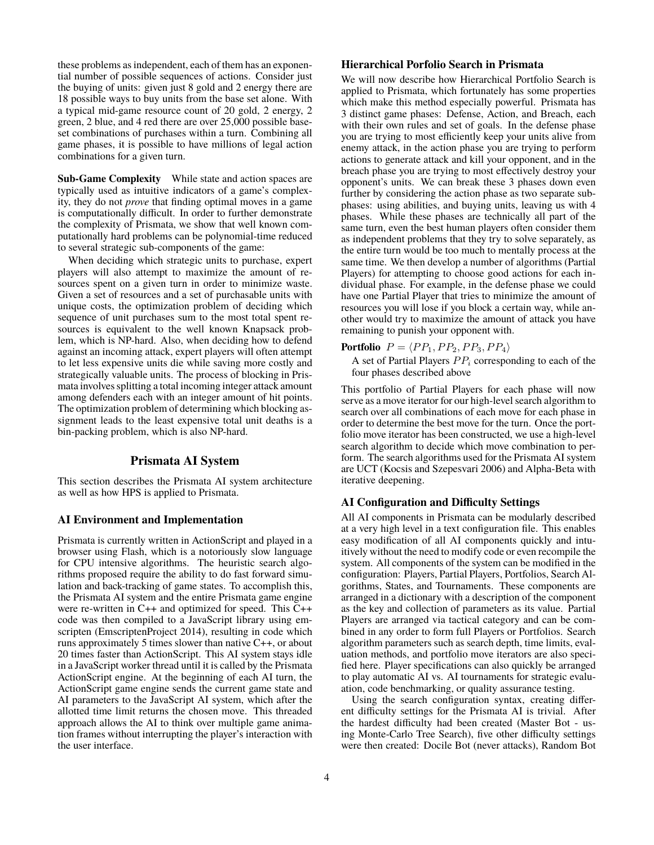these problems as independent, each of them has an exponential number of possible sequences of actions. Consider just the buying of units: given just 8 gold and 2 energy there are 18 possible ways to buy units from the base set alone. With a typical mid-game resource count of 20 gold, 2 energy, 2 green, 2 blue, and 4 red there are over 25,000 possible baseset combinations of purchases within a turn. Combining all game phases, it is possible to have millions of legal action combinations for a given turn.

**Sub-Game Complexity** While state and action spaces are typically used as intuitive indicators of a game's complexity, they do not *prove* that finding optimal moves in a game is computationally difficult. In order to further demonstrate the complexity of Prismata, we show that well known computationally hard problems can be polynomial-time reduced to several strategic sub-components of the game:

When deciding which strategic units to purchase, expert players will also attempt to maximize the amount of resources spent on a given turn in order to minimize waste. Given a set of resources and a set of purchasable units with unique costs, the optimization problem of deciding which sequence of unit purchases sum to the most total spent resources is equivalent to the well known Knapsack problem, which is NP-hard. Also, when deciding how to defend against an incoming attack, expert players will often attempt to let less expensive units die while saving more costly and strategically valuable units. The process of blocking in Prismata involves splitting a total incoming integer attack amount among defenders each with an integer amount of hit points. The optimization problem of determining which blocking assignment leads to the least expensive total unit deaths is a bin-packing problem, which is also NP-hard.

# **Prismata AI System**

This section describes the Prismata AI system architecture as well as how HPS is applied to Prismata.

#### **AI Environment and Implementation**

Prismata is currently written in ActionScript and played in a browser using Flash, which is a notoriously slow language for CPU intensive algorithms. The heuristic search algorithms proposed require the ability to do fast forward simulation and back-tracking of game states. To accomplish this, the Prismata AI system and the entire Prismata game engine were re-written in C++ and optimized for speed. This C++ code was then compiled to a JavaScript library using emscripten (EmscriptenProject 2014), resulting in code which runs approximately 5 times slower than native C++, or about 20 times faster than ActionScript. This AI system stays idle in a JavaScript worker thread until it is called by the Prismata ActionScript engine. At the beginning of each AI turn, the ActionScript game engine sends the current game state and AI parameters to the JavaScript AI system, which after the allotted time limit returns the chosen move. This threaded approach allows the AI to think over multiple game animation frames without interrupting the player's interaction with the user interface.

# **Hierarchical Porfolio Search in Prismata**

We will now describe how Hierarchical Portfolio Search is applied to Prismata, which fortunately has some properties which make this method especially powerful. Prismata has 3 distinct game phases: Defense, Action, and Breach, each with their own rules and set of goals. In the defense phase you are trying to most efficiently keep your units alive from enemy attack, in the action phase you are trying to perform actions to generate attack and kill your opponent, and in the breach phase you are trying to most effectively destroy your opponent's units. We can break these 3 phases down even further by considering the action phase as two separate subphases: using abilities, and buying units, leaving us with 4 phases. While these phases are technically all part of the same turn, even the best human players often consider them as independent problems that they try to solve separately, as the entire turn would be too much to mentally process at the same time. We then develop a number of algorithms (Partial Players) for attempting to choose good actions for each individual phase. For example, in the defense phase we could have one Partial Player that tries to minimize the amount of resources you will lose if you block a certain way, while another would try to maximize the amount of attack you have remaining to punish your opponent with.

# **Portfolio**  $P = \langle PP_1, PP_2, PP_3, PP_4 \rangle$

A set of Partial Players  $PP_i$  corresponding to each of the four phases described above

This portfolio of Partial Players for each phase will now serve as a move iterator for our high-level search algorithm to search over all combinations of each move for each phase in order to determine the best move for the turn. Once the portfolio move iterator has been constructed, we use a high-level search algorithm to decide which move combination to perform. The search algorithms used for the Prismata AI system are UCT (Kocsis and Szepesvari 2006) and Alpha-Beta with iterative deepening.

### **AI Configuration and Difficulty Settings**

All AI components in Prismata can be modularly described at a very high level in a text configuration file. This enables easy modification of all AI components quickly and intuitively without the need to modify code or even recompile the system. All components of the system can be modified in the configuration: Players, Partial Players, Portfolios, Search Algorithms, States, and Tournaments. These components are arranged in a dictionary with a description of the component as the key and collection of parameters as its value. Partial Players are arranged via tactical category and can be combined in any order to form full Players or Portfolios. Search algorithm parameters such as search depth, time limits, evaluation methods, and portfolio move iterators are also specified here. Player specifications can also quickly be arranged to play automatic AI vs. AI tournaments for strategic evaluation, code benchmarking, or quality assurance testing.

Using the search configuration syntax, creating different difficulty settings for the Prismata AI is trivial. After the hardest difficulty had been created (Master Bot - using Monte-Carlo Tree Search), five other difficulty settings were then created: Docile Bot (never attacks), Random Bot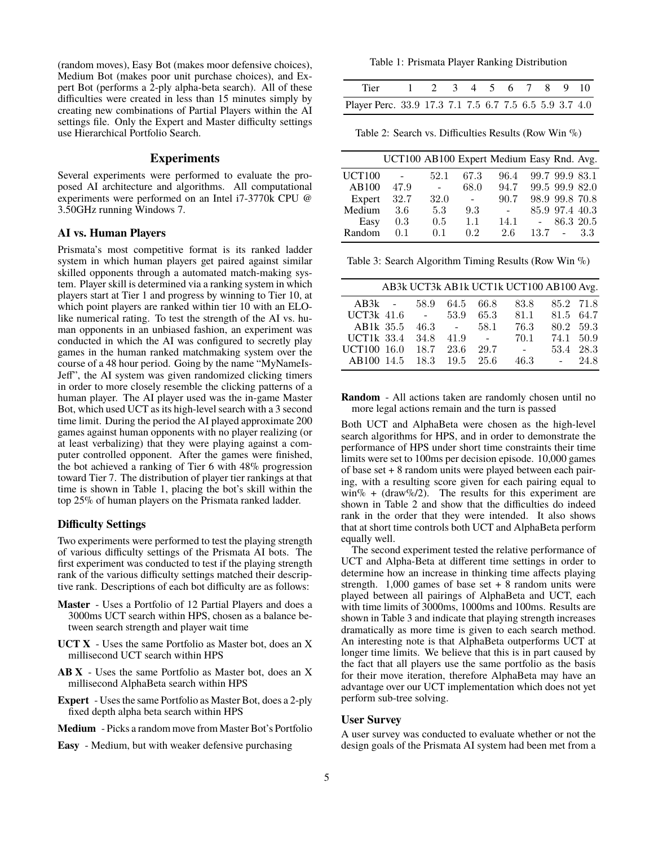(random moves), Easy Bot (makes moor defensive choices), Medium Bot (makes poor unit purchase choices), and Expert Bot (performs a 2-ply alpha-beta search). All of these difficulties were created in less than 15 minutes simply by creating new combinations of Partial Players within the AI settings file. Only the Expert and Master difficulty settings use Hierarchical Portfolio Search.

# **Experiments**

Several experiments were performed to evaluate the proposed AI architecture and algorithms. All computational experiments were performed on an Intel i7-3770k CPU @ 3.50GHz running Windows 7.

### **AI vs. Human Players**

Prismata's most competitive format is its ranked ladder system in which human players get paired against similar skilled opponents through a automated match-making system. Player skill is determined via a ranking system in which players start at Tier 1 and progress by winning to Tier 10, at which point players are ranked within tier 10 with an ELOlike numerical rating. To test the strength of the AI vs. human opponents in an unbiased fashion, an experiment was conducted in which the AI was configured to secretly play games in the human ranked matchmaking system over the course of a 48 hour period. Going by the name "MyNameIs-Jeff", the AI system was given randomized clicking timers in order to more closely resemble the clicking patterns of a human player. The AI player used was the in-game Master Bot, which used UCT as its high-level search with a 3 second time limit. During the period the AI played approximate 200 games against human opponents with no player realizing (or at least verbalizing) that they were playing against a computer controlled opponent. After the games were finished, the bot achieved a ranking of Tier 6 with 48% progression toward Tier 7. The distribution of player tier rankings at that time is shown in Table 1, placing the bot's skill within the top 25% of human players on the Prismata ranked ladder.

### **Difficulty Settings**

Two experiments were performed to test the playing strength of various difficulty settings of the Prismata AI bots. The first experiment was conducted to test if the playing strength rank of the various difficulty settings matched their descriptive rank. Descriptions of each bot difficulty are as follows:

- **Master** Uses a Portfolio of 12 Partial Players and does a 3000ms UCT search within HPS, chosen as a balance between search strength and player wait time
- **UCT X** Uses the same Portfolio as Master bot, does an X millisecond UCT search within HPS
- **AB X** Uses the same Portfolio as Master bot, does an X millisecond AlphaBeta search within HPS
- **Expert** Uses the same Portfolio as Master Bot, does a 2-ply fixed depth alpha beta search within HPS
- **Medium** Picks a random move from Master Bot's Portfolio
- **Easy** Medium, but with weaker defensive purchasing

Table 1: Prismata Player Ranking Distribution

| Tier 1 2 3 4 5 6 7 8 9 10                              |  |  |  |  |  |
|--------------------------------------------------------|--|--|--|--|--|
| Player Perc. 33.9 17.3 7.1 7.5 6.7 7.5 6.5 5.9 3.7 4.0 |  |  |  |  |  |

Table 2: Search vs. Difficulties Results (Row Win %)

|               | UCT100 AB100 Expert Medium Easy Rnd. Avg. |      |                |                |      |                |     |
|---------------|-------------------------------------------|------|----------------|----------------|------|----------------|-----|
| <b>UCT100</b> | $\sim$                                    | 52.1 | 67.3           | 96.4           |      | 99.7 99.9 83.1 |     |
| AB100         | 47.9                                      |      | 68.0           | 94.7           |      | 99.5 99.9 82.0 |     |
| Expert        | 32.7                                      | 32.0 | $\overline{a}$ | 90.7           |      | 98.9 99.8 70.8 |     |
| Medium        | 3.6                                       | 5.3  | 9.3            | $\blacksquare$ |      | 85.9 97.4 40.3 |     |
| Easy          | 0.3                                       | 0.5  | 1.1            | 14.1           |      | 86.3 20.5      |     |
| Random        | 0.1                                       | 0.1  | 0.2            | 2.6            | 13.7 |                | 3.3 |

Table 3: Search Algorithm Timing Results (Row Win %)

|                   |                 |                 |                         | AB3k UCT3k AB1k UCT1k UCT100 AB100 Avg. |           |      |
|-------------------|-----------------|-----------------|-------------------------|-----------------------------------------|-----------|------|
| $AB3k -$          | 58.9            |                 | 64.5 66.8               | 83.8                                    | 85.2 71.8 |      |
| UCT3 $k$ 41.6     | $\sim 10^{-10}$ | 53.9            | 65.3                    | 81.1                                    | 81.5 64.7 |      |
| AB1k 35.5         | 46.3            | $\sim 10^{-10}$ | 58.1                    | 76.3                                    | 80.2 59.3 |      |
| <b>UCT1k</b> 33.4 | 34.8            | 41.9            | $\sim 100$ km s $^{-1}$ | 70.1                                    | 74.1 50.9 |      |
| UCT100 16.0       | 18.7            | 23.6            | 29.7                    | $\sim$                                  | 53.4      | 28.3 |
| AB100 14.5        | 18.3            |                 | $19.5 \quad 25.6$       | 46.3                                    | $\sim$    | 24.8 |

**Random** - All actions taken are randomly chosen until no more legal actions remain and the turn is passed

Both UCT and AlphaBeta were chosen as the high-level search algorithms for HPS, and in order to demonstrate the performance of HPS under short time constraints their time limits were set to 100ms per decision episode. 10,000 games of base set + 8 random units were played between each pairing, with a resulting score given for each pairing equal to win% + (draw%/2). The results for this experiment are shown in Table 2 and show that the difficulties do indeed rank in the order that they were intended. It also shows that at short time controls both UCT and AlphaBeta perform equally well.

The second experiment tested the relative performance of UCT and Alpha-Beta at different time settings in order to determine how an increase in thinking time affects playing strength.  $1,000$  games of base set  $+8$  random units were played between all pairings of AlphaBeta and UCT, each with time limits of 3000ms, 1000ms and 100ms. Results are shown in Table 3 and indicate that playing strength increases dramatically as more time is given to each search method. An interesting note is that AlphaBeta outperforms UCT at longer time limits. We believe that this is in part caused by the fact that all players use the same portfolio as the basis for their move iteration, therefore AlphaBeta may have an advantage over our UCT implementation which does not yet perform sub-tree solving.

### **User Survey**

A user survey was conducted to evaluate whether or not the design goals of the Prismata AI system had been met from a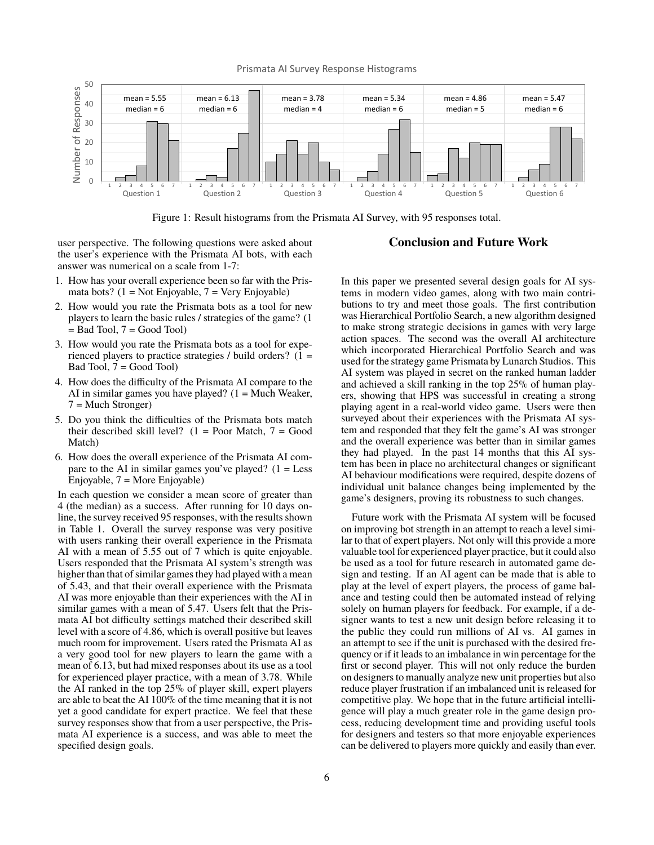

Prismata AI Survey Response Histograms

Figure 1: Result histograms from the Prismata AI Survey, with 95 responses total.

user perspective. The following questions were asked about the user's experience with the Prismata AI bots, with each answer was numerical on a scale from 1-7:

- 1. How has your overall experience been so far with the Prismata bots?  $(1 = Not Enjoyable, 7 = Very Enjoyable)$
- 2. How would you rate the Prismata bots as a tool for new players to learn the basic rules / strategies of the game? (1  $=$  Bad Tool,  $7 =$  Good Tool)
- 3. How would you rate the Prismata bots as a tool for experienced players to practice strategies / build orders? (1 = Bad Tool, 7 = Good Tool)
- 4. How does the difficulty of the Prismata AI compare to the AI in similar games you have played?  $(1 = Much Weather,$ 7 = Much Stronger)
- 5. Do you think the difficulties of the Prismata bots match their described skill level?  $(1 = Poor Match, 7 = Good$ Match)
- 6. How does the overall experience of the Prismata AI compare to the AI in similar games you've played?  $(1 = Less$ Enjoyable, 7 = More Enjoyable)

In each question we consider a mean score of greater than 4 (the median) as a success. After running for 10 days online, the survey received 95 responses, with the results shown in Table 1. Overall the survey response was very positive with users ranking their overall experience in the Prismata AI with a mean of 5.55 out of 7 which is quite enjoyable. Users responded that the Prismata AI system's strength was higher than that of similar games they had played with a mean of 5.43, and that their overall experience with the Prismata AI was more enjoyable than their experiences with the AI in similar games with a mean of 5.47. Users felt that the Prismata AI bot difficulty settings matched their described skill level with a score of 4.86, which is overall positive but leaves much room for improvement. Users rated the Prismata AI as a very good tool for new players to learn the game with a mean of 6.13, but had mixed responses about its use as a tool for experienced player practice, with a mean of 3.78. While the AI ranked in the top 25% of player skill, expert players are able to beat the AI 100% of the time meaning that it is not yet a good candidate for expert practice. We feel that these survey responses show that from a user perspective, the Prismata AI experience is a success, and was able to meet the specified design goals.

# **Conclusion and Future Work**

In this paper we presented several design goals for AI systems in modern video games, along with two main contributions to try and meet those goals. The first contribution was Hierarchical Portfolio Search, a new algorithm designed to make strong strategic decisions in games with very large action spaces. The second was the overall AI architecture which incorporated Hierarchical Portfolio Search and was used for the strategy game Prismata by Lunarch Studios. This AI system was played in secret on the ranked human ladder and achieved a skill ranking in the top 25% of human players, showing that HPS was successful in creating a strong playing agent in a real-world video game. Users were then surveyed about their experiences with the Prismata AI system and responded that they felt the game's AI was stronger and the overall experience was better than in similar games they had played. In the past 14 months that this AI system has been in place no architectural changes or significant AI behaviour modifications were required, despite dozens of individual unit balance changes being implemented by the game's designers, proving its robustness to such changes.

Future work with the Prismata AI system will be focused on improving bot strength in an attempt to reach a level similar to that of expert players. Not only will this provide a more valuable tool for experienced player practice, but it could also be used as a tool for future research in automated game design and testing. If an AI agent can be made that is able to play at the level of expert players, the process of game balance and testing could then be automated instead of relying solely on human players for feedback. For example, if a designer wants to test a new unit design before releasing it to the public they could run millions of AI vs. AI games in an attempt to see if the unit is purchased with the desired frequency or if it leads to an imbalance in win percentage for the first or second player. This will not only reduce the burden on designers to manually analyze new unit properties but also reduce player frustration if an imbalanced unit is released for competitive play. We hope that in the future artificial intelligence will play a much greater role in the game design process, reducing development time and providing useful tools for designers and testers so that more enjoyable experiences can be delivered to players more quickly and easily than ever.